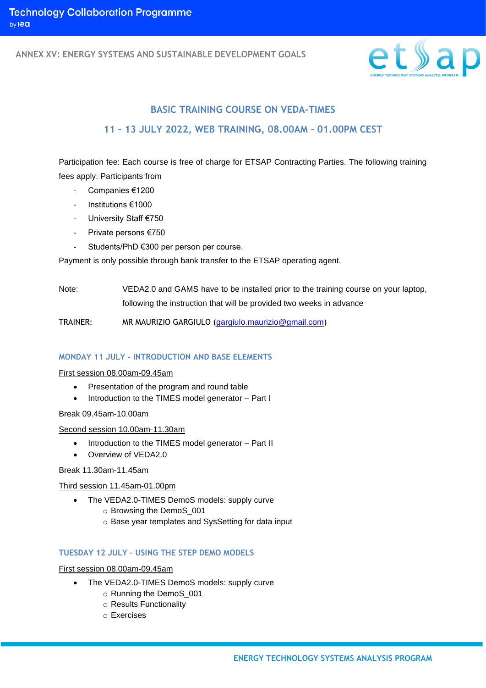**ANNEX XV: ENERGY SYSTEMS AND SUSTAINABLE DEVELOPMENT GOALS**



# **BASIC TRAINING COURSE ON VEDA-TIMES 11 – 13 JULY 2022, WEB TRAINING, 08.00AM - 01.00PM CEST**

Participation fee: Each course is free of charge for ETSAP Contracting Parties. The following training fees apply: Participants from

- Companies €1200
- Institutions €1000
- University Staff €750
- Private persons €750
- Students/PhD €300 per person per course.

Payment is only possible through bank transfer to the ETSAP operating agent.

Note: VEDA2.0 and GAMS have to be installed prior to the training course on your laptop, following the instruction that will be provided two weeks in advance

TRAINER: MR MAURIZIO GARGIULO ([gargiulo.maurizio@gmail.com](mailto:gargiulo.maurizio@gmail.com))

# **MONDAY 11 JULY - INTRODUCTION AND BASE ELEMENTS**

First session 08.00am-09.45am

- Presentation of the program and round table
- Introduction to the TIMES model generator Part I

Break 09.45am-10.00am

Second session 10.00am-11.30am

- Introduction to the TIMES model generator Part II
- Overview of VEDA2.0

Break 11.30am-11.45am

Third session 11.45am-01.00pm

- The VEDA2.0-TIMES DemoS models: supply curve
	- o Browsing the DemoS\_001
	- o Base year templates and SysSetting for data input

# **TUESDAY 12 JULY – USING THE STEP DEMO MODELS**

First session 08.00am-09.45am

- The VEDA2.0-TIMES DemoS models: supply curve
	- o Running the DemoS\_001
	- o Results Functionality
	- o Exercises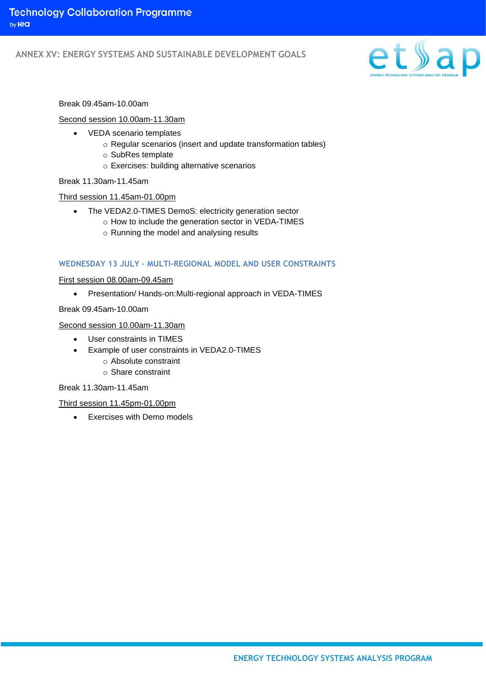# **ANNEX XV: ENERGY SYSTEMS AND SUSTAINABLE DEVELOPMENT GOALS**



#### Break 09.45am-10.00am

#### Second session 10.00am-11.30am

- VEDA scenario templates
	- o Regular scenarios (insert and update transformation tables)
	- o SubRes template
	- o Exercises: building alternative scenarios

## Break 11.30am-11.45am

# Third session 11.45am-01.00pm

- The VEDA2.0-TIMES DemoS: electricity generation sector
	- o How to include the generation sector in VEDA-TIMES
		- o Running the model and analysing results

# **WEDNESDAY 13 JULY – MULTI-REGIONAL MODEL AND USER CONSTRAINTS**

#### First session 08.00am-09.45am

• Presentation/ Hands-on:Multi-regional approach in VEDA-TIMES

## Break 09.45am-10.00am

## Second session 10.00am-11.30am

- User constraints in TIMES
- Example of user constraints in VEDA2.0-TIMES
	- o Absolute constraint
	- o Share constraint

#### Break 11.30am-11.45am

#### Third session 11.45pm-01.00pm

• Exercises with Demo models